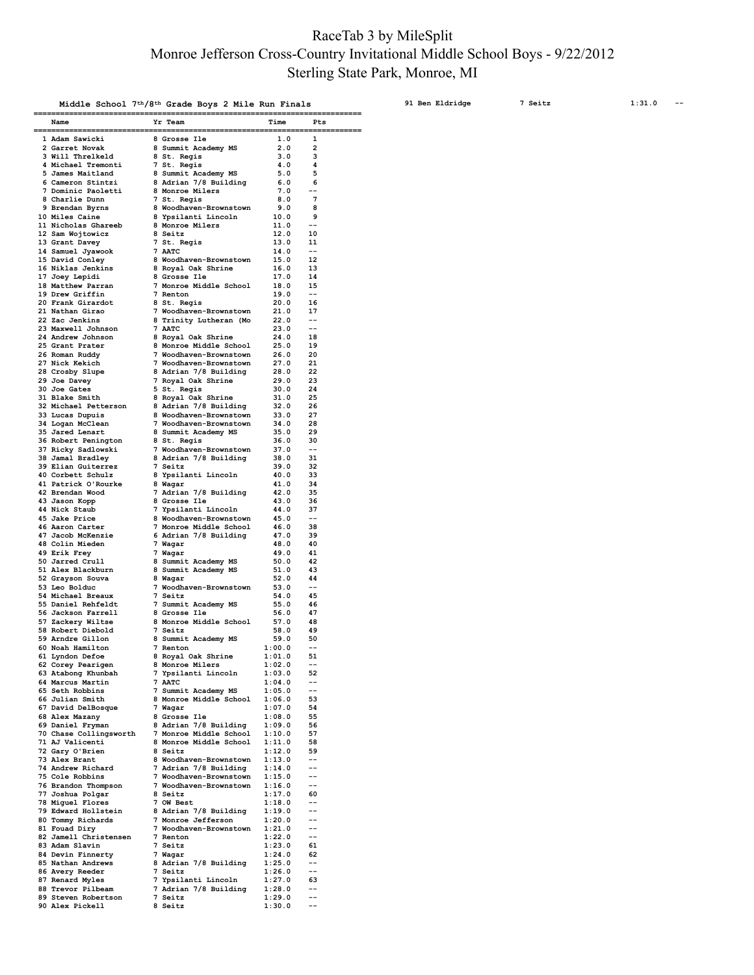## RaceTab 3 by MileSplit Monroe Jefferson Cross-Country Invitational Middle School Boys - 9/22/2012 Sterling State Park, Monroe, MI

|                                         | Middle School 7 <sup>th</sup> /8 <sup>th</sup> Grade Boys 2 Mile Run Finals |                  |             |
|-----------------------------------------|-----------------------------------------------------------------------------|------------------|-------------|
| Name                                    | Yr Team                                                                     | Time             | Pts         |
| 1 Adam Sawicki                          | 8 Grosse Ile                                                                | 1.0              | 1           |
| 2 Garret Novak<br>3 Will Threlkeld      | 8 Summit Academy MS<br>8 St. Regis                                          | 2.0<br>3.0       | 2<br>з      |
| 4 Michael Tremonti<br>5 James Maitland  | 7 St. Regis<br>8 Summit Academy MS                                          | 4.0<br>5.0       | 4<br>5      |
| 6 Cameron Stintzi                       | 8 Adrian 7/8 Building                                                       | 6.0              | 6<br>$-$    |
| 7 Dominic Paoletti<br>8 Charlie Dunn    | 8 Monroe Milers<br>7 St. Regis                                              | 7.0<br>8.0       | 7           |
| 9 Brendan Byrns<br>10 Miles Caine       | 8 Woodhaven-Brownstown<br>8 Ypsilanti Lincoln                               | 9.0<br>10.0      | 8<br>9      |
| 11 Nicholas Ghareeb                     | 8 Monroe Milers                                                             | 11.0             | $-$         |
| 12 Sam Wojtowicz<br>13 Grant Davey      | 8 Seitz<br>7 St. Regis                                                      | 12.0<br>13.0     | 10<br>11    |
| 14 Samuel Jyawook                       | 7 AATC                                                                      | 14.0             | $-$         |
| 15 David Conley<br>16 Niklas Jenkins    | 8 Woodhaven-Brownstown<br>8 Royal Oak Shrine                                | 15.0<br>16.0     | 12<br>13    |
| 17 Joey Lepidi                          | 8 Grosse Ile                                                                | 17.0             | 14          |
| 18 Matthew Parran<br>19 Drew Griffin    | 7 Monroe Middle School<br>7 Renton                                          | 18.0<br>19.0     | 15<br>$-$   |
| 20 Frank Girardot<br>21 Nathan Girao    | 8 St. Regis<br>7 Woodhaven-Brownstown                                       | 20.0<br>21.0     | 16<br>17    |
| 22 Zac Jenkins                          | 8 Trinity Lutheran (Mo                                                      | 22.0             | --          |
| 23 Maxwell Johnson<br>24 Andrew Johnson | 7 AATC<br>8 Royal Oak Shrine                                                | 23.0<br>24.0     | $-$<br>18   |
| 25 Grant Prater                         | 8 Monroe Middle School                                                      | 25.0             | 19          |
| 26 Roman Ruddy<br>27 Nick Kekich        | Woodhaven-Brownstown<br>7<br>Woodhaven-Brownstown<br>7                      | 26.0<br>27.0     | 20<br>21    |
| 28 Crosby Slupe                         | 8 Adrian 7/8 Building                                                       | 28.0             | 22          |
| 29 Joe Davey<br>30 Joe Gates            | 7 Royal Oak Shrine<br>5 St. Regis                                           | 29.0<br>30.0     | 23<br>24    |
| 31 Blake Smith                          | 8 Royal Oak Shrine                                                          | 31.0             | 25          |
| 32 Michael Petterson<br>33 Lucas Dupuis | 8 Adrian 7/8 Building<br>8<br>Woodhaven-Brownstown                          | 32.0<br>33.0     | 26<br>27    |
| 34 Logan McClean                        | 7<br>Woodhaven-Brownstown                                                   | 34.0             | 28          |
| 35 Jared Lenart<br>36 Robert Penington  | Summit Academy MS<br>8<br>8 St. Regis                                       | 35.0<br>36.0     | 29<br>30    |
| 37 Ricky Sadlowski                      | 7<br>Woodhaven-Brownstown                                                   | 37.0             | $-$         |
| 38 Jamal Bradley<br>39 Elian Guiterrez  | 8 Adrian 7/8 Building<br>7<br>Seitz                                         | 38.0<br>39.0     | 31<br>32    |
| 40 Corbett Schulz                       | 8 Ypsilanti Lincoln                                                         | 40.0             | 33          |
| 41 Patrick O'Rourke<br>42 Brendan Wood  | 8 Wagar<br>7 Adrian 7/8 Building                                            | 41.0<br>42.0     | 34<br>35    |
| 43 Jason Kopp                           | 8 Grosse Ile                                                                | 43.0             | 36          |
| 44 Nick Staub<br>45 Jake Price          | 7 Ypsilanti Lincoln<br>8 Woodhaven-Brownstown                               | 44.0<br>45.0     | 37<br>--    |
| 46 Aaron Carter                         | 7 Monroe Middle School                                                      | 46.0             | 38          |
| 47 Jacob McKenzie<br>48 Colin Mieden    | 6 Adrian 7/8 Building<br>7 Wagar                                            | 47.0<br>48.0     | 39<br>40    |
| 49 Erik Frey                            | 7 Wagar                                                                     | 49.0             | 41          |
| 50 Jarred Crull<br>51 Alex Blackburn    | Summit Academy MS<br>8<br>Summit Academy MS<br>8                            | 50.0<br>51.0     | 42<br>43    |
| 52 Grayson Souva                        | 8 Wagar                                                                     | 52.0             | 44          |
| 53 Leo Bolduc<br>54 Michael Breaux      | 7<br>Woodhaven-Brownstown<br>7<br>Seitz                                     | 53.0<br>54.0     | --<br>45    |
| 55 Daniel Rehfeldt                      | 7<br>Summit Academy MS                                                      | 55.0             | 46          |
| 56 Jackson Farrell<br>57 Zackery Wiltse | 8 Grosse Ile<br>8 Monroe Middle School                                      | 56.0<br>57.0     | 47<br>48    |
| 58 Robert Diebold                       | 7 Seitz                                                                     | 58.0             | 49          |
| 59 Arndre Gillon<br>60 Noah Hamilton    | 8 Summit Academy MS<br>7 Renton                                             | 59.0<br>1:00.0   | 50<br>--    |
| 61 Lyndon Defoe                         | 8 Royal Oak Shrine                                                          | 1:01.0           | 51          |
| 62 Corey Pearigen<br>63 Atabong Khunbah | 8 Monroe Milers<br>7 Ypsilanti Lincoln                                      | 1:02.0<br>1:03.0 | $-1$<br>52  |
| 64 Marcus Martin                        | 7 AATC                                                                      | 1:04.0           | $- -$       |
| 65 Seth Robbins<br>66 Julian Smith      | 7 Summit Academy MS<br>8 Monroe Middle School                               | 1:05.0<br>1:06.0 | $- -$<br>53 |
| 67 David DelBosque                      | 7 Wagar                                                                     | 1:07.0           | 54          |
| 68 Alex Mazany<br>69 Daniel Fryman      | 8 Grosse Ile<br>8 Adrian 7/8 Building                                       | 1:08.0<br>1:09.0 | 55<br>56    |
| 70 Chase Collingsworth                  | 7 Monroe Middle School                                                      | 1:10.0           | 57          |
| 71 AJ Valicenti<br>72 Gary O'Brien      | 8 Monroe Middle School<br>8 Seitz                                           | 1:11.0<br>1:12.0 | 58<br>59    |
| 73 Alex Brant                           | 8 Woodhaven-Brownstown                                                      | 1:13.0           | --          |
| 74 Andrew Richard<br>75 Cole Robbins    | 7 Adrian 7/8 Building<br>Woodhaven-Brownstown<br>7                          | 1:14.0<br>1:15.0 | $- -$<br>-- |
| 76 Brandon Thompson                     | 7 Woodhaven-Brownstown                                                      | 1:16.0           | --          |
| 77 Joshua Polgar<br>78 Miguel Flores    | 8 Seitz<br>7 OW Best                                                        | 1:17.0<br>1:18.0 | 60<br>--    |
| 79 Edward Hollstein                     | 8 Adrian 7/8 Building                                                       | 1:19.0           | $- -$       |
| 80 Tommy Richards<br>81 Fouad Diry      | 7 Monroe Jefferson<br>Woodhaven-Brownstown<br>7                             | 1:20.0<br>1:21.0 | $- -$<br>-- |
| 82 Jamell Christensen                   | 7 Renton                                                                    | 1:22.0           | --          |
| 83 Adam Slavin<br>84 Devin Finnerty     | 7 Seitz<br>7 Wagar                                                          | 1:23.0<br>1:24.0 | 61<br>62    |
| 85 Nathan Andrews                       | 8 Adrian 7/8 Building                                                       | 1:25.0           | --          |
| 86 Avery Reeder<br>87 Renard Myles      | 7 Seitz<br>7 Ypsilanti Lincoln                                              | 1:26.0<br>1:27.0 | $- -$<br>63 |
| 88 Trevor Pilbeam                       | 7 Adrian 7/8 Building                                                       | 1:28.0           | --          |
| 89 Steven Robertson<br>90 Alex Pickell  | 7 Seitz<br>8 Seitz                                                          | 1:29.0<br>1:30.0 | --<br>--    |
|                                         |                                                                             |                  |             |